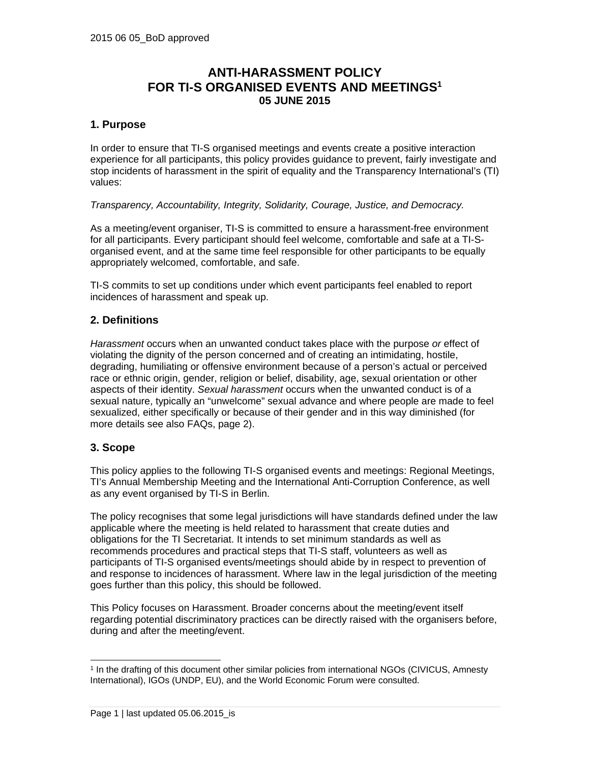# **ANTI-HARASSMENT POLICY FOR TI-S ORGANISED EVENTS AND MEETINGS1 05 JUNE 2015**

## **1. Purpose**

In order to ensure that TI-S organised meetings and events create a positive interaction experience for all participants, this policy provides guidance to prevent, fairly investigate and stop incidents of harassment in the spirit of equality and the Transparency International's (TI) values:

*Transparency, Accountability, Integrity, Solidarity, Courage, Justice, and Democracy.* 

As a meeting/event organiser, TI-S is committed to ensure a harassment-free environment for all participants. Every participant should feel welcome, comfortable and safe at a TI-Sorganised event, and at the same time feel responsible for other participants to be equally appropriately welcomed, comfortable, and safe.

TI-S commits to set up conditions under which event participants feel enabled to report incidences of harassment and speak up.

### **2. Definitions**

*Harassment* occurs when an unwanted conduct takes place with the purpose *or* effect of violating the dignity of the person concerned and of creating an intimidating, hostile, degrading, humiliating or offensive environment because of a person's actual or perceived race or ethnic origin, gender, religion or belief, disability, age, sexual orientation or other aspects of their identity. *Sexual harassment* occurs when the unwanted conduct is of a sexual nature, typically an "unwelcome" sexual advance and where people are made to feel sexualized, either specifically or because of their gender and in this way diminished (for more details see also FAQs, page 2).

### **3. Scope**

-

This policy applies to the following TI-S organised events and meetings: Regional Meetings, TI's Annual Membership Meeting and the International Anti-Corruption Conference, as well as any event organised by TI-S in Berlin.

The policy recognises that some legal jurisdictions will have standards defined under the law applicable where the meeting is held related to harassment that create duties and obligations for the TI Secretariat. It intends to set minimum standards as well as recommends procedures and practical steps that TI-S staff, volunteers as well as participants of TI-S organised events/meetings should abide by in respect to prevention of and response to incidences of harassment. Where law in the legal jurisdiction of the meeting goes further than this policy, this should be followed.

This Policy focuses on Harassment. Broader concerns about the meeting/event itself regarding potential discriminatory practices can be directly raised with the organisers before, during and after the meeting/event.

<sup>1</sup> In the drafting of this document other similar policies from international NGOs (CIVICUS, Amnesty International), IGOs (UNDP, EU), and the World Economic Forum were consulted.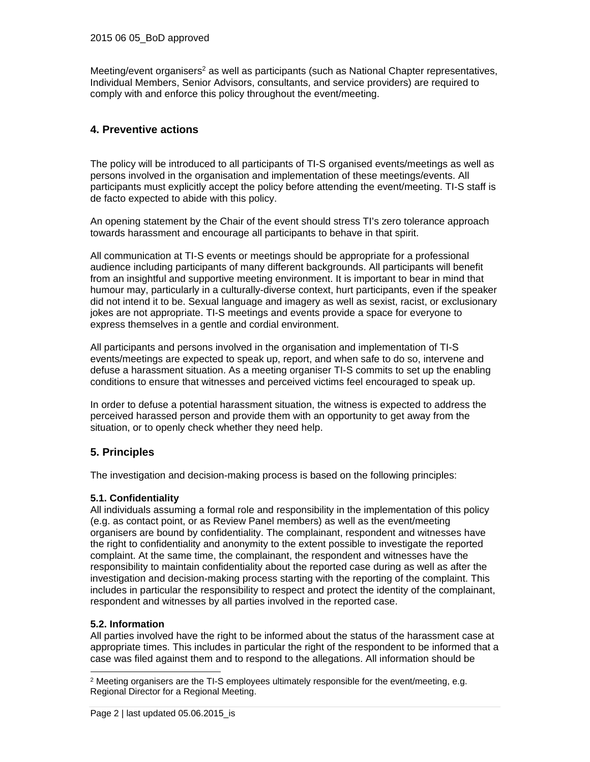Meeting/event organisers<sup>2</sup> as well as participants (such as National Chapter representatives, Individual Members, Senior Advisors, consultants, and service providers) are required to comply with and enforce this policy throughout the event/meeting.

# **4. Preventive actions**

The policy will be introduced to all participants of TI-S organised events/meetings as well as persons involved in the organisation and implementation of these meetings/events. All participants must explicitly accept the policy before attending the event/meeting. TI-S staff is de facto expected to abide with this policy.

An opening statement by the Chair of the event should stress TI's zero tolerance approach towards harassment and encourage all participants to behave in that spirit.

All communication at TI-S events or meetings should be appropriate for a professional audience including participants of many different backgrounds. All participants will benefit from an insightful and supportive meeting environment. It is important to bear in mind that humour may, particularly in a culturally-diverse context, hurt participants, even if the speaker did not intend it to be. Sexual language and imagery as well as sexist, racist, or exclusionary jokes are not appropriate. TI-S meetings and events provide a space for everyone to express themselves in a gentle and cordial environment.

All participants and persons involved in the organisation and implementation of TI-S events/meetings are expected to speak up, report, and when safe to do so, intervene and defuse a harassment situation. As a meeting organiser TI-S commits to set up the enabling conditions to ensure that witnesses and perceived victims feel encouraged to speak up.

In order to defuse a potential harassment situation, the witness is expected to address the perceived harassed person and provide them with an opportunity to get away from the situation, or to openly check whether they need help.

# **5. Principles**

The investigation and decision-making process is based on the following principles:

### **5.1. Confidentiality**

All individuals assuming a formal role and responsibility in the implementation of this policy (e.g. as contact point, or as Review Panel members) as well as the event/meeting organisers are bound by confidentiality. The complainant, respondent and witnesses have the right to confidentiality and anonymity to the extent possible to investigate the reported complaint. At the same time, the complainant, the respondent and witnesses have the responsibility to maintain confidentiality about the reported case during as well as after the investigation and decision-making process starting with the reporting of the complaint. This includes in particular the responsibility to respect and protect the identity of the complainant, respondent and witnesses by all parties involved in the reported case.

### **5.2. Information**

-

All parties involved have the right to be informed about the status of the harassment case at appropriate times. This includes in particular the right of the respondent to be informed that a case was filed against them and to respond to the allegations. All information should be

<sup>2</sup> Meeting organisers are the TI-S employees ultimately responsible for the event/meeting, e.g. Regional Director for a Regional Meeting.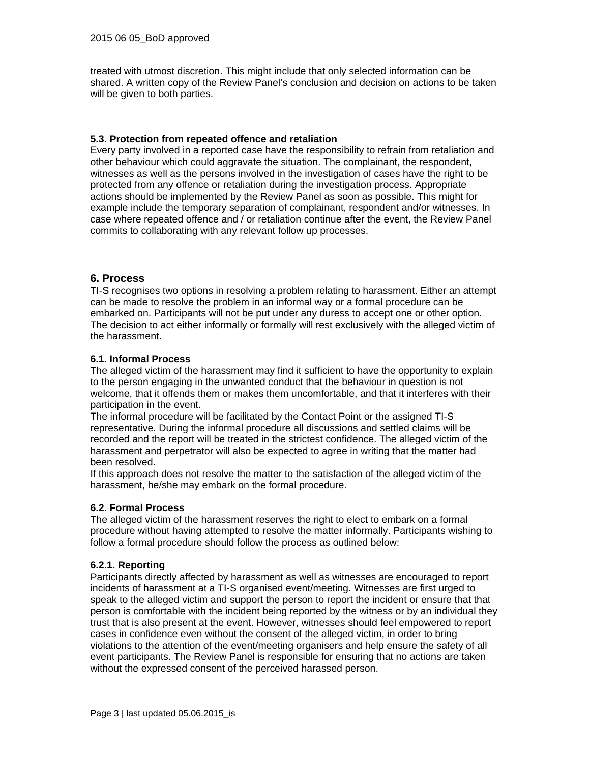treated with utmost discretion. This might include that only selected information can be shared. A written copy of the Review Panel's conclusion and decision on actions to be taken will be given to both parties.

### **5.3. Protection from repeated offence and retaliation**

Every party involved in a reported case have the responsibility to refrain from retaliation and other behaviour which could aggravate the situation. The complainant, the respondent, witnesses as well as the persons involved in the investigation of cases have the right to be protected from any offence or retaliation during the investigation process. Appropriate actions should be implemented by the Review Panel as soon as possible. This might for example include the temporary separation of complainant, respondent and/or witnesses. In case where repeated offence and / or retaliation continue after the event, the Review Panel commits to collaborating with any relevant follow up processes.

### **6. Process**

TI-S recognises two options in resolving a problem relating to harassment. Either an attempt can be made to resolve the problem in an informal way or a formal procedure can be embarked on. Participants will not be put under any duress to accept one or other option. The decision to act either informally or formally will rest exclusively with the alleged victim of the harassment.

### **6.1. Informal Process**

The alleged victim of the harassment may find it sufficient to have the opportunity to explain to the person engaging in the unwanted conduct that the behaviour in question is not welcome, that it offends them or makes them uncomfortable, and that it interferes with their participation in the event.

The informal procedure will be facilitated by the Contact Point or the assigned TI-S representative. During the informal procedure all discussions and settled claims will be recorded and the report will be treated in the strictest confidence. The alleged victim of the harassment and perpetrator will also be expected to agree in writing that the matter had been resolved.

If this approach does not resolve the matter to the satisfaction of the alleged victim of the harassment, he/she may embark on the formal procedure.

### **6.2. Formal Process**

The alleged victim of the harassment reserves the right to elect to embark on a formal procedure without having attempted to resolve the matter informally. Participants wishing to follow a formal procedure should follow the process as outlined below:

### **6.2.1. Reporting**

Participants directly affected by harassment as well as witnesses are encouraged to report incidents of harassment at a TI-S organised event/meeting. Witnesses are first urged to speak to the alleged victim and support the person to report the incident or ensure that that person is comfortable with the incident being reported by the witness or by an individual they trust that is also present at the event. However, witnesses should feel empowered to report cases in confidence even without the consent of the alleged victim, in order to bring violations to the attention of the event/meeting organisers and help ensure the safety of all event participants. The Review Panel is responsible for ensuring that no actions are taken without the expressed consent of the perceived harassed person.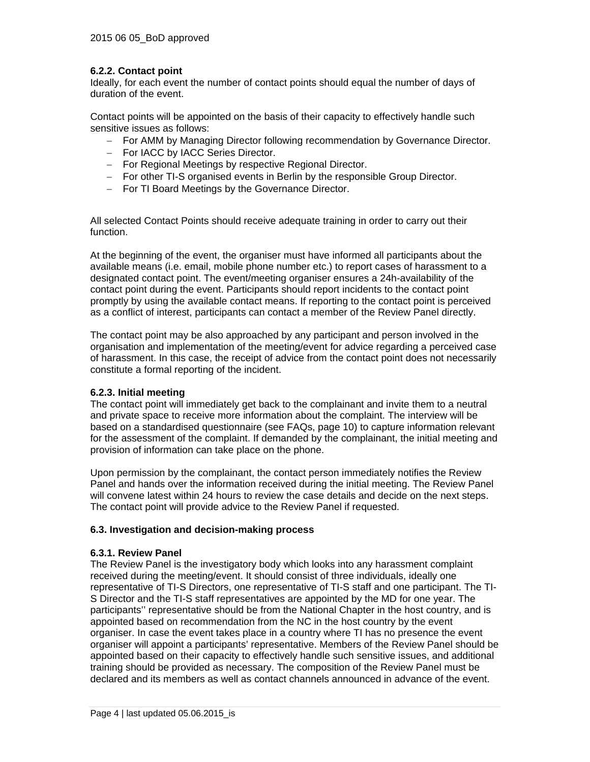### **6.2.2. Contact point**

Ideally, for each event the number of contact points should equal the number of days of duration of the event.

Contact points will be appointed on the basis of their capacity to effectively handle such sensitive issues as follows:

- For AMM by Managing Director following recommendation by Governance Director.
- For IACC by IACC Series Director.
- For Regional Meetings by respective Regional Director.
- For other TI-S organised events in Berlin by the responsible Group Director.
- For TI Board Meetings by the Governance Director.

All selected Contact Points should receive adequate training in order to carry out their function.

At the beginning of the event, the organiser must have informed all participants about the available means (i.e. email, mobile phone number etc.) to report cases of harassment to a designated contact point. The event/meeting organiser ensures a 24h-availability of the contact point during the event. Participants should report incidents to the contact point promptly by using the available contact means. If reporting to the contact point is perceived as a conflict of interest, participants can contact a member of the Review Panel directly.

The contact point may be also approached by any participant and person involved in the organisation and implementation of the meeting/event for advice regarding a perceived case of harassment. In this case, the receipt of advice from the contact point does not necessarily constitute a formal reporting of the incident.

### **6.2.3. Initial meeting**

The contact point will immediately get back to the complainant and invite them to a neutral and private space to receive more information about the complaint. The interview will be based on a standardised questionnaire (see FAQs, page 10) to capture information relevant for the assessment of the complaint. If demanded by the complainant, the initial meeting and provision of information can take place on the phone.

Upon permission by the complainant, the contact person immediately notifies the Review Panel and hands over the information received during the initial meeting. The Review Panel will convene latest within 24 hours to review the case details and decide on the next steps. The contact point will provide advice to the Review Panel if requested.

### **6.3. Investigation and decision-making process**

### **6.3.1. Review Panel**

The Review Panel is the investigatory body which looks into any harassment complaint received during the meeting/event. It should consist of three individuals, ideally one representative of TI-S Directors, one representative of TI-S staff and one participant. The TI-S Director and the TI-S staff representatives are appointed by the MD for one year. The participants'' representative should be from the National Chapter in the host country, and is appointed based on recommendation from the NC in the host country by the event organiser. In case the event takes place in a country where TI has no presence the event organiser will appoint a participants' representative. Members of the Review Panel should be appointed based on their capacity to effectively handle such sensitive issues, and additional training should be provided as necessary. The composition of the Review Panel must be declared and its members as well as contact channels announced in advance of the event.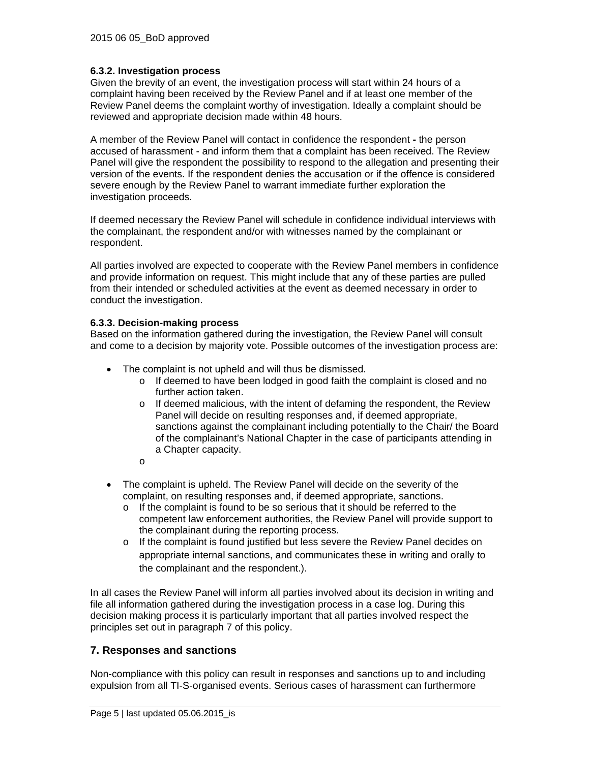### **6.3.2. Investigation process**

Given the brevity of an event, the investigation process will start within 24 hours of a complaint having been received by the Review Panel and if at least one member of the Review Panel deems the complaint worthy of investigation. Ideally a complaint should be reviewed and appropriate decision made within 48 hours.

A member of the Review Panel will contact in confidence the respondent **-** the person accused of harassment - and inform them that a complaint has been received. The Review Panel will give the respondent the possibility to respond to the allegation and presenting their version of the events. If the respondent denies the accusation or if the offence is considered severe enough by the Review Panel to warrant immediate further exploration the investigation proceeds.

If deemed necessary the Review Panel will schedule in confidence individual interviews with the complainant, the respondent and/or with witnesses named by the complainant or respondent.

All parties involved are expected to cooperate with the Review Panel members in confidence and provide information on request. This might include that any of these parties are pulled from their intended or scheduled activities at the event as deemed necessary in order to conduct the investigation.

### **6.3.3. Decision-making process**

Based on the information gathered during the investigation, the Review Panel will consult and come to a decision by majority vote. Possible outcomes of the investigation process are:

- The complaint is not upheld and will thus be dismissed.
	- o If deemed to have been lodged in good faith the complaint is closed and no further action taken.
	- $\circ$  If deemed malicious, with the intent of defaming the respondent, the Review Panel will decide on resulting responses and, if deemed appropriate, sanctions against the complainant including potentially to the Chair/ the Board of the complainant's National Chapter in the case of participants attending in a Chapter capacity.
	- o
- The complaint is upheld. The Review Panel will decide on the severity of the complaint, on resulting responses and, if deemed appropriate, sanctions.
	- o If the complaint is found to be so serious that it should be referred to the competent law enforcement authorities, the Review Panel will provide support to the complainant during the reporting process.
	- o If the complaint is found justified but less severe the Review Panel decides on appropriate internal sanctions, and communicates these in writing and orally to the complainant and the respondent.).

In all cases the Review Panel will inform all parties involved about its decision in writing and file all information gathered during the investigation process in a case log. During this decision making process it is particularly important that all parties involved respect the principles set out in paragraph 7 of this policy.

### **7. Responses and sanctions**

Non-compliance with this policy can result in responses and sanctions up to and including expulsion from all TI-S-organised events. Serious cases of harassment can furthermore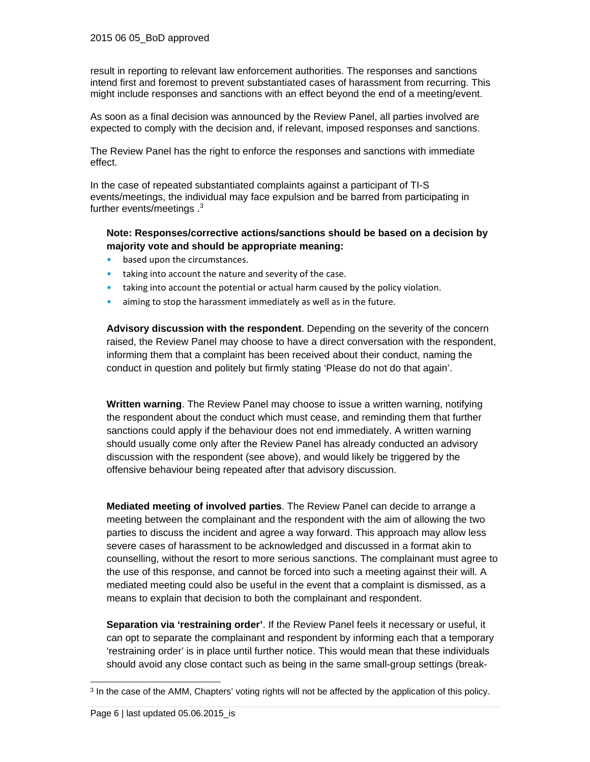result in reporting to relevant law enforcement authorities. The responses and sanctions intend first and foremost to prevent substantiated cases of harassment from recurring. This might include responses and sanctions with an effect beyond the end of a meeting/event.

As soon as a final decision was announced by the Review Panel, all parties involved are expected to comply with the decision and, if relevant, imposed responses and sanctions.

The Review Panel has the right to enforce the responses and sanctions with immediate effect.

In the case of repeated substantiated complaints against a participant of TI-S events/meetings, the individual may face expulsion and be barred from participating in further events/meetings .<sup>3</sup>

### **Note: Responses/corrective actions/sanctions should be based on a decision by majority vote and should be appropriate meaning:**

- based upon the circumstances.
- taking into account the nature and severity of the case.
- taking into account the potential or actual harm caused by the policy violation.
- aiming to stop the harassment immediately as well as in the future.

**Advisory discussion with the respondent**. Depending on the severity of the concern raised, the Review Panel may choose to have a direct conversation with the respondent, informing them that a complaint has been received about their conduct, naming the conduct in question and politely but firmly stating 'Please do not do that again'.

**Written warning**. The Review Panel may choose to issue a written warning, notifying the respondent about the conduct which must cease, and reminding them that further sanctions could apply if the behaviour does not end immediately. A written warning should usually come only after the Review Panel has already conducted an advisory discussion with the respondent (see above), and would likely be triggered by the offensive behaviour being repeated after that advisory discussion.

**Mediated meeting of involved parties**. The Review Panel can decide to arrange a meeting between the complainant and the respondent with the aim of allowing the two parties to discuss the incident and agree a way forward. This approach may allow less severe cases of harassment to be acknowledged and discussed in a format akin to counselling, without the resort to more serious sanctions. The complainant must agree to the use of this response, and cannot be forced into such a meeting against their will. A mediated meeting could also be useful in the event that a complaint is dismissed, as a means to explain that decision to both the complainant and respondent.

**Separation via 'restraining order'**. If the Review Panel feels it necessary or useful, it can opt to separate the complainant and respondent by informing each that a temporary 'restraining order' is in place until further notice. This would mean that these individuals should avoid any close contact such as being in the same small-group settings (break-

1

<sup>3</sup> In the case of the AMM, Chapters' voting rights will not be affected by the application of this policy.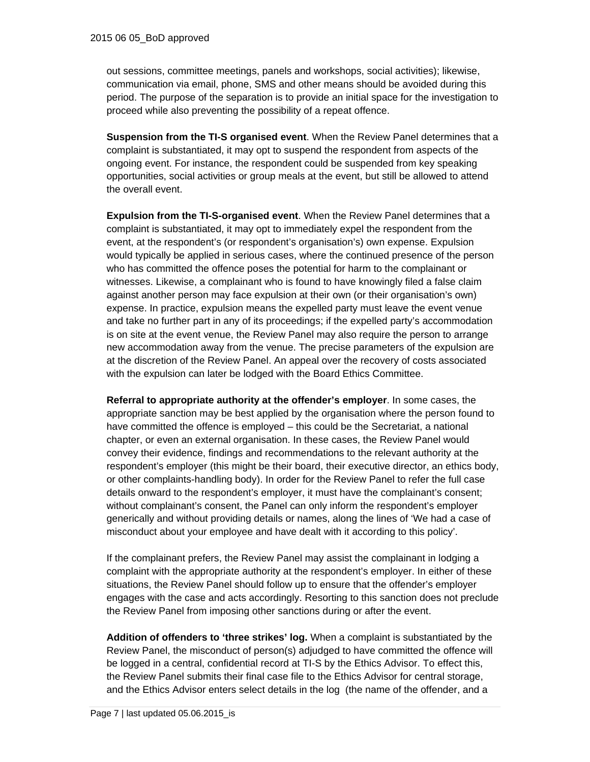out sessions, committee meetings, panels and workshops, social activities); likewise, communication via email, phone, SMS and other means should be avoided during this period. The purpose of the separation is to provide an initial space for the investigation to proceed while also preventing the possibility of a repeat offence.

**Suspension from the TI-S organised event**. When the Review Panel determines that a complaint is substantiated, it may opt to suspend the respondent from aspects of the ongoing event. For instance, the respondent could be suspended from key speaking opportunities, social activities or group meals at the event, but still be allowed to attend the overall event.

**Expulsion from the TI-S-organised event**. When the Review Panel determines that a complaint is substantiated, it may opt to immediately expel the respondent from the event, at the respondent's (or respondent's organisation's) own expense. Expulsion would typically be applied in serious cases, where the continued presence of the person who has committed the offence poses the potential for harm to the complainant or witnesses. Likewise, a complainant who is found to have knowingly filed a false claim against another person may face expulsion at their own (or their organisation's own) expense. In practice, expulsion means the expelled party must leave the event venue and take no further part in any of its proceedings; if the expelled party's accommodation is on site at the event venue, the Review Panel may also require the person to arrange new accommodation away from the venue. The precise parameters of the expulsion are at the discretion of the Review Panel. An appeal over the recovery of costs associated with the expulsion can later be lodged with the Board Ethics Committee.

**Referral to appropriate authority at the offender's employer**. In some cases, the appropriate sanction may be best applied by the organisation where the person found to have committed the offence is employed – this could be the Secretariat, a national chapter, or even an external organisation. In these cases, the Review Panel would convey their evidence, findings and recommendations to the relevant authority at the respondent's employer (this might be their board, their executive director, an ethics body, or other complaints-handling body). In order for the Review Panel to refer the full case details onward to the respondent's employer, it must have the complainant's consent; without complainant's consent, the Panel can only inform the respondent's employer generically and without providing details or names, along the lines of 'We had a case of misconduct about your employee and have dealt with it according to this policy'.

If the complainant prefers, the Review Panel may assist the complainant in lodging a complaint with the appropriate authority at the respondent's employer. In either of these situations, the Review Panel should follow up to ensure that the offender's employer engages with the case and acts accordingly. Resorting to this sanction does not preclude the Review Panel from imposing other sanctions during or after the event.

**Addition of offenders to 'three strikes' log.** When a complaint is substantiated by the Review Panel, the misconduct of person(s) adjudged to have committed the offence will be logged in a central, confidential record at TI-S by the Ethics Advisor. To effect this, the Review Panel submits their final case file to the Ethics Advisor for central storage, and the Ethics Advisor enters select details in the log (the name of the offender, and a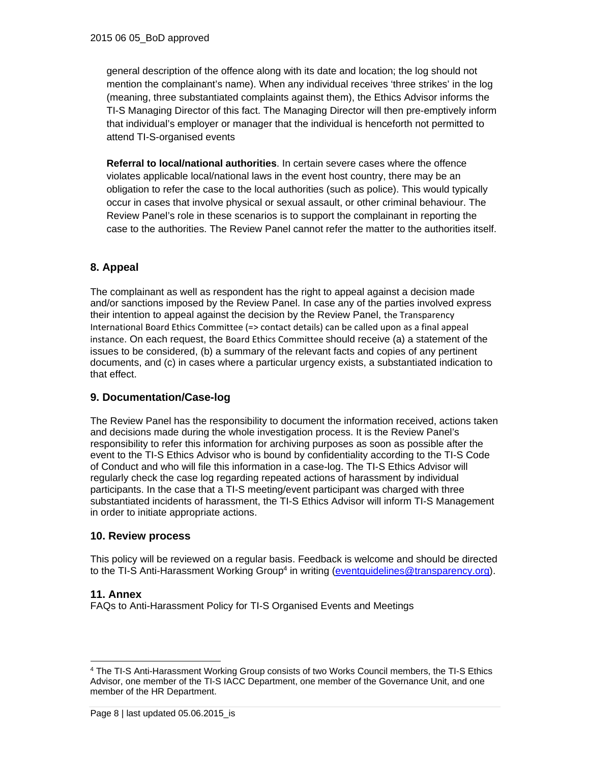general description of the offence along with its date and location; the log should not mention the complainant's name). When any individual receives 'three strikes' in the log (meaning, three substantiated complaints against them), the Ethics Advisor informs the TI-S Managing Director of this fact. The Managing Director will then pre-emptively inform that individual's employer or manager that the individual is henceforth not permitted to attend TI-S-organised events

**Referral to local/national authorities**. In certain severe cases where the offence violates applicable local/national laws in the event host country, there may be an obligation to refer the case to the local authorities (such as police). This would typically occur in cases that involve physical or sexual assault, or other criminal behaviour. The Review Panel's role in these scenarios is to support the complainant in reporting the case to the authorities. The Review Panel cannot refer the matter to the authorities itself.

# **8. Appeal**

The complainant as well as respondent has the right to appeal against a decision made and/or sanctions imposed by the Review Panel. In case any of the parties involved express their intention to appeal against the decision by the Review Panel, the Transparency International Board Ethics Committee (=> contact details) can be called upon as a final appeal instance. On each request, the Board Ethics Committee should receive (a) a statement of the issues to be considered, (b) a summary of the relevant facts and copies of any pertinent documents, and (c) in cases where a particular urgency exists, a substantiated indication to that effect.

### **9. Documentation/Case-log**

The Review Panel has the responsibility to document the information received, actions taken and decisions made during the whole investigation process. It is the Review Panel's responsibility to refer this information for archiving purposes as soon as possible after the event to the TI-S Ethics Advisor who is bound by confidentiality according to the TI-S Code of Conduct and who will file this information in a case-log. The TI-S Ethics Advisor will regularly check the case log regarding repeated actions of harassment by individual participants. In the case that a TI-S meeting/event participant was charged with three substantiated incidents of harassment, the TI-S Ethics Advisor will inform TI-S Management in order to initiate appropriate actions.

### **10. Review process**

This policy will be reviewed on a regular basis. Feedback is welcome and should be directed to the TI-S Anti-Harassment Working Group<sup>4</sup> in writing (eventquidelines@transparency.org).

### **11. Annex**

FAQs to Anti-Harassment Policy for TI-S Organised Events and Meetings

<sup>-</sup>4 The TI-S Anti-Harassment Working Group consists of two Works Council members, the TI-S Ethics Advisor, one member of the TI-S IACC Department, one member of the Governance Unit, and one member of the HR Department.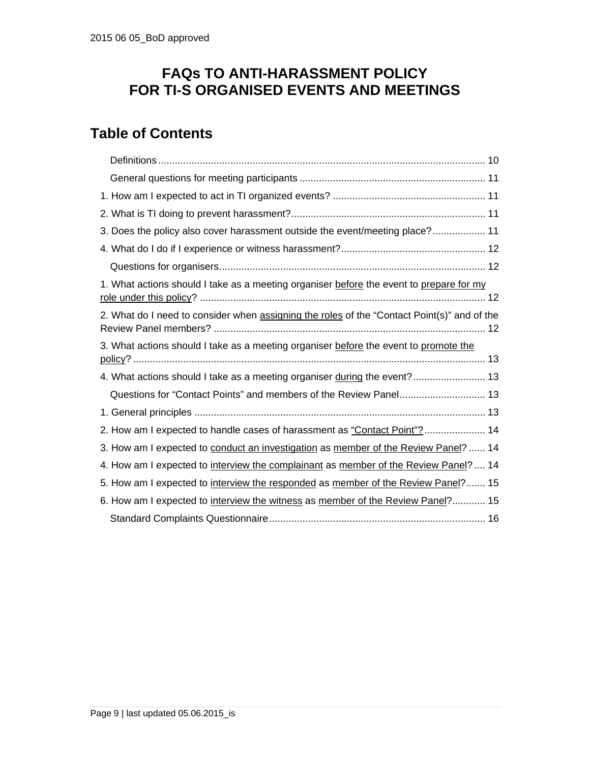# **FAQs TO ANTI-HARASSMENT POLICY FOR TI-S ORGANISED EVENTS AND MEETINGS**

# **Table of Contents**

| 3. Does the policy also cover harassment outside the event/meeting place? 11                |
|---------------------------------------------------------------------------------------------|
|                                                                                             |
|                                                                                             |
| 1. What actions should I take as a meeting organiser before the event to prepare for my     |
| 2. What do I need to consider when assigning the roles of the "Contact Point(s)" and of the |
| 3. What actions should I take as a meeting organiser before the event to promote the        |
| 4. What actions should I take as a meeting organiser during the event? 13                   |
| Questions for "Contact Points" and members of the Review Panel 13                           |
|                                                                                             |
| 2. How am I expected to handle cases of harassment as "Contact Point"? 14                   |
| 3. How am I expected to conduct an investigation as member of the Review Panel?  14         |
| 4. How am I expected to interview the complainant as member of the Review Panel?  14        |
| 5. How am I expected to interview the responded as member of the Review Panel? 15           |
| 6. How am I expected to interview the witness as member of the Review Panel? 15             |
|                                                                                             |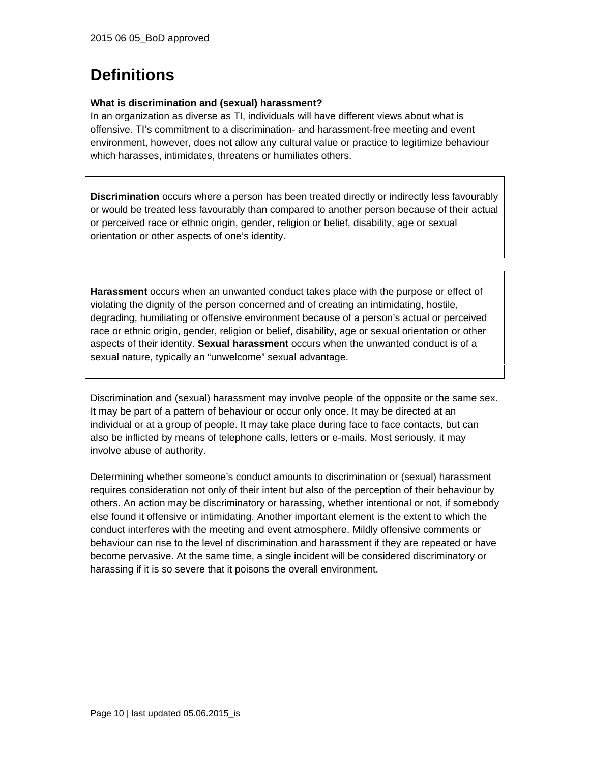# **Definitions**

### **What is discrimination and (sexual) harassment?**

In an organization as diverse as TI, individuals will have different views about what is offensive. TI's commitment to a discrimination- and harassment-free meeting and event environment, however, does not allow any cultural value or practice to legitimize behaviour which harasses, intimidates, threatens or humiliates others.

**Discrimination** occurs where a person has been treated directly or indirectly less favourably or would be treated less favourably than compared to another person because of their actual or perceived race or ethnic origin, gender, religion or belief, disability, age or sexual orientation or other aspects of one's identity.

**Harassment** occurs when an unwanted conduct takes place with the purpose or effect of violating the dignity of the person concerned and of creating an intimidating, hostile, degrading, humiliating or offensive environment because of a person's actual or perceived race or ethnic origin, gender, religion or belief, disability, age or sexual orientation or other aspects of their identity. **Sexual harassment** occurs when the unwanted conduct is of a sexual nature, typically an "unwelcome" sexual advantage.

Discrimination and (sexual) harassment may involve people of the opposite or the same sex. It may be part of a pattern of behaviour or occur only once. It may be directed at an individual or at a group of people. It may take place during face to face contacts, but can also be inflicted by means of telephone calls, letters or e-mails. Most seriously, it may involve abuse of authority.

Determining whether someone's conduct amounts to discrimination or (sexual) harassment requires consideration not only of their intent but also of the perception of their behaviour by others. An action may be discriminatory or harassing, whether intentional or not, if somebody else found it offensive or intimidating. Another important element is the extent to which the conduct interferes with the meeting and event atmosphere. Mildly offensive comments or behaviour can rise to the level of discrimination and harassment if they are repeated or have become pervasive. At the same time, a single incident will be considered discriminatory or harassing if it is so severe that it poisons the overall environment.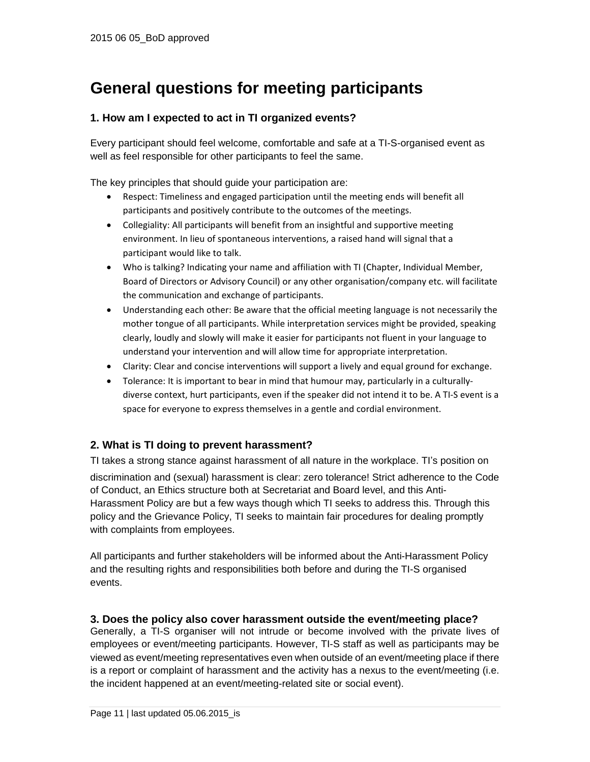# **General questions for meeting participants**

# **1. How am I expected to act in TI organized events?**

Every participant should feel welcome, comfortable and safe at a TI-S-organised event as well as feel responsible for other participants to feel the same.

The key principles that should guide your participation are:

- Respect: Timeliness and engaged participation until the meeting ends will benefit all participants and positively contribute to the outcomes of the meetings.
- Collegiality: All participants will benefit from an insightful and supportive meeting environment. In lieu of spontaneous interventions, a raised hand will signal that a participant would like to talk.
- Who is talking? Indicating your name and affiliation with TI (Chapter, Individual Member, Board of Directors or Advisory Council) or any other organisation/company etc. will facilitate the communication and exchange of participants.
- Understanding each other: Be aware that the official meeting language is not necessarily the mother tongue of all participants. While interpretation services might be provided, speaking clearly, loudly and slowly will make it easier for participants not fluent in your language to understand your intervention and will allow time for appropriate interpretation.
- Clarity: Clear and concise interventions will support a lively and equal ground for exchange.
- Tolerance: It is important to bear in mind that humour may, particularly in a culturallydiverse context, hurt participants, even if the speaker did not intend it to be. A TI‐S event is a space for everyone to express themselves in a gentle and cordial environment.

# **2. What is TI doing to prevent harassment?**

TI takes a strong stance against harassment of all nature in the workplace. TI's position on discrimination and (sexual) harassment is clear: zero tolerance! Strict adherence to the Code of Conduct, an Ethics structure both at Secretariat and Board level, and this Anti-Harassment Policy are but a few ways though which TI seeks to address this. Through this policy and the Grievance Policy, TI seeks to maintain fair procedures for dealing promptly with complaints from employees.

All participants and further stakeholders will be informed about the Anti-Harassment Policy and the resulting rights and responsibilities both before and during the TI-S organised events.

### **3. Does the policy also cover harassment outside the event/meeting place?**

Generally, a TI-S organiser will not intrude or become involved with the private lives of employees or event/meeting participants. However, TI-S staff as well as participants may be viewed as event/meeting representatives even when outside of an event/meeting place if there is a report or complaint of harassment and the activity has a nexus to the event/meeting (i.e. the incident happened at an event/meeting-related site or social event).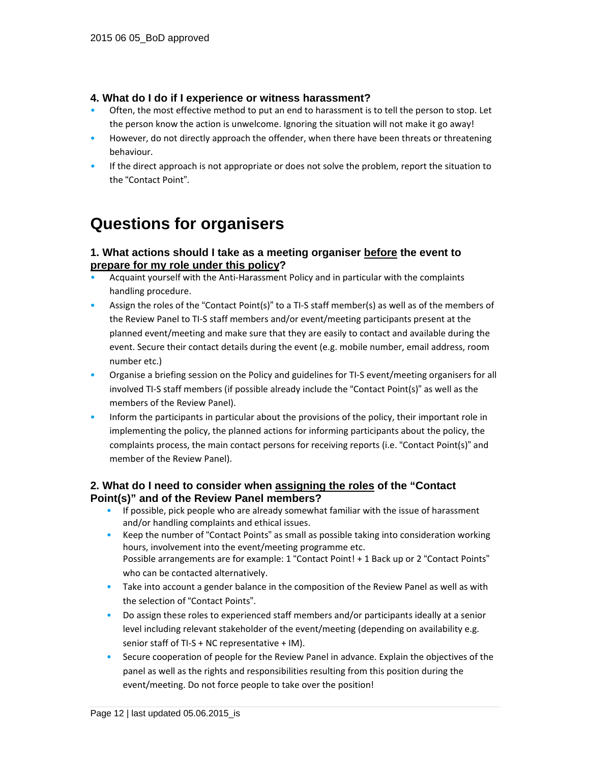### **4. What do I do if I experience or witness harassment?**

- Often, the most effective method to put an end to harassment is to tell the person to stop. Let the person know the action is unwelcome. Ignoring the situation will not make it go away!
- However, do not directly approach the offender, when there have been threats or threatening behaviour.
- If the direct approach is not appropriate or does not solve the problem, report the situation to the "Contact Point".

# **Questions for organisers**

## **1. What actions should I take as a meeting organiser before the event to prepare for my role under this policy?**

- Acquaint yourself with the Anti‐Harassment Policy and in particular with the complaints handling procedure.
- Assign the roles of the "Contact Point(s)" to a TI-S staff member(s) as well as of the members of the Review Panel to TI‐S staff members and/or event/meeting participants present at the planned event/meeting and make sure that they are easily to contact and available during the event. Secure their contact details during the event (e.g. mobile number, email address, room number etc.)
- Organise a briefing session on the Policy and guidelines for TI‐S event/meeting organisers for all involved TI‐S staff members (if possible already include the "Contact Point(s)" as well as the members of the Review Panel).
- Inform the participants in particular about the provisions of the policy, their important role in implementing the policy, the planned actions for informing participants about the policy, the complaints process, the main contact persons for receiving reports (i.e. "Contact Point(s)" and member of the Review Panel).

## **2. What do I need to consider when assigning the roles of the "Contact Point(s)" and of the Review Panel members?**

- If possible, pick people who are already somewhat familiar with the issue of harassment and/or handling complaints and ethical issues.
- Keep the number of "Contact Points" as small as possible taking into consideration working hours, involvement into the event/meeting programme etc. Possible arrangements are for example: 1 "Contact Point! + 1 Back up or 2 "Contact Points" who can be contacted alternatively.
- Take into account a gender balance in the composition of the Review Panel as well as with the selection of "Contact Points".
- Do assign these roles to experienced staff members and/or participants ideally at a senior level including relevant stakeholder of the event/meeting (depending on availability e.g. senior staff of TI-S + NC representative + IM).
- Secure cooperation of people for the Review Panel in advance. Explain the objectives of the panel as well as the rights and responsibilities resulting from this position during the event/meeting. Do not force people to take over the position!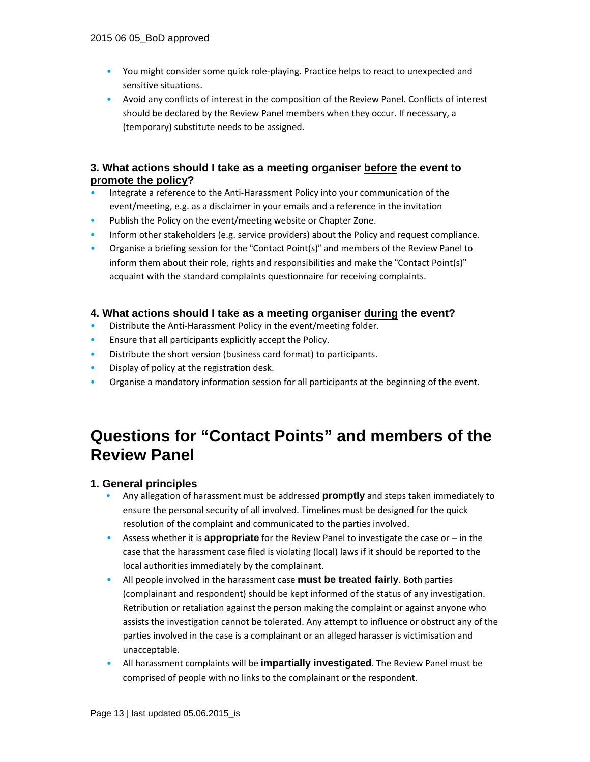- You might consider some quick role-playing. Practice helps to react to unexpected and sensitive situations.
- Avoid any conflicts of interest in the composition of the Review Panel. Conflicts of interest should be declared by the Review Panel members when they occur. If necessary, a (temporary) substitute needs to be assigned.

## **3. What actions should I take as a meeting organiser before the event to promote the policy?**

- Integrate a reference to the Anti‐Harassment Policy into your communication of the event/meeting, e.g. as a disclaimer in your emails and a reference in the invitation
- Publish the Policy on the event/meeting website or Chapter Zone.
- Inform other stakeholders (e.g. service providers) about the Policy and request compliance.
- Organise a briefing session for the "Contact Point(s)" and members of the Review Panel to inform them about their role, rights and responsibilities and make the "Contact Point(s)" acquaint with the standard complaints questionnaire for receiving complaints.

# **4. What actions should I take as a meeting organiser during the event?**

- Distribute the Anti‐Harassment Policy in the event/meeting folder.
- Ensure that all participants explicitly accept the Policy.
- Distribute the short version (business card format) to participants.
- Display of policy at the registration desk.
- Organise a mandatory information session for all participants at the beginning of the event.

# **Questions for "Contact Points" and members of the Review Panel**

# **1. General principles**

- **•** Any allegation of harassment must be addressed **promptly** and steps taken immediately to ensure the personal security of all involved. Timelines must be designed for the quick resolution of the complaint and communicated to the parties involved.
- Assess whether it is **appropriate** for the Review Panel to investigate the case or in the case that the harassment case filed is violating (local) laws if it should be reported to the local authorities immediately by the complainant.
- All people involved in the harassment case **must be treated fairly**. Both parties (complainant and respondent) should be kept informed of the status of any investigation. Retribution or retaliation against the person making the complaint or against anyone who assists the investigation cannot be tolerated. Any attempt to influence or obstruct any of the parties involved in the case is a complainant or an alleged harasser is victimisation and unacceptable.
- All harassment complaints will be **impartially investigated**. The Review Panel must be comprised of people with no links to the complainant or the respondent.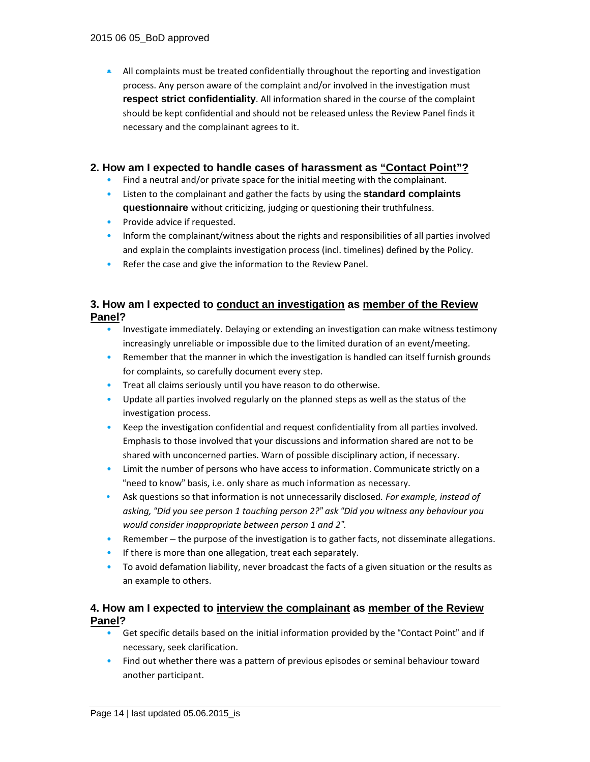• All complaints must be treated confidentially throughout the reporting and investigation process. Any person aware of the complaint and/or involved in the investigation must **respect strict confidentiality**. All information shared in the course of the complaint should be kept confidential and should not be released unless the Review Panel finds it necessary and the complainant agrees to it.

### **2. How am I expected to handle cases of harassment as "Contact Point"?**

- Find a neutral and/or private space for the initial meeting with the complainant.
- Listen to the complainant and gather the facts by using the **standard complaints questionnaire** without criticizing, judging or questioning their truthfulness.
- Provide advice if requested.
- Inform the complainant/witness about the rights and responsibilities of all parties involved and explain the complaints investigation process (incl. timelines) defined by the Policy.
- Refer the case and give the information to the Review Panel.

# **3. How am I expected to conduct an investigation as member of the Review Panel?**

- Investigate immediately. Delaying or extending an investigation can make witness testimony increasingly unreliable or impossible due to the limited duration of an event/meeting.
- Remember that the manner in which the investigation is handled can itself furnish grounds for complaints, so carefully document every step.
- Treat all claims seriously until you have reason to do otherwise.
- Update all parties involved regularly on the planned steps as well as the status of the investigation process.
- Keep the investigation confidential and request confidentiality from all parties involved. Emphasis to those involved that your discussions and information shared are not to be shared with unconcerned parties. Warn of possible disciplinary action, if necessary.
- Limit the number of persons who have access to information. Communicate strictly on a "need to know" basis, i.e. only share as much information as necessary.
- Ask questions so that information is not unnecessarily disclosed*. For example, instead of asking, "Did you see person 1 touching person 2?" ask "Did you witness any behaviour you would consider inappropriate between person 1 and 2".*
- Remember the purpose of the investigation is to gather facts, not disseminate allegations.
- If there is more than one allegation, treat each separately.
- To avoid defamation liability, never broadcast the facts of a given situation or the results as an example to others.

## **4. How am I expected to interview the complainant as member of the Review Panel?**

- Get specific details based on the initial information provided by the "Contact Point" and if necessary, seek clarification.
- Find out whether there was a pattern of previous episodes or seminal behaviour toward another participant.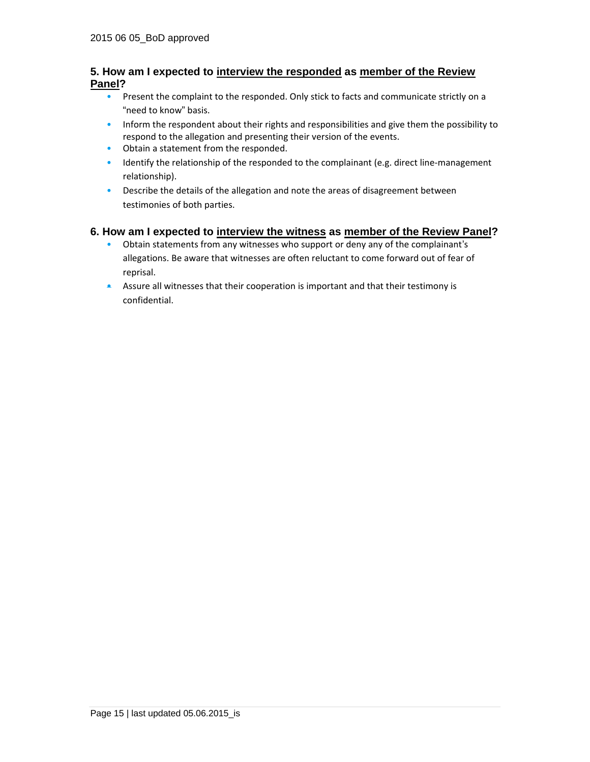### **5. How am I expected to interview the responded as member of the Review Panel?**

- Present the complaint to the responded. Only stick to facts and communicate strictly on a "need to know" basis.
- Inform the respondent about their rights and responsibilities and give them the possibility to respond to the allegation and presenting their version of the events.
- Obtain a statement from the responded.
- Identify the relationship of the responded to the complainant (e.g. direct line-management relationship).
- Describe the details of the allegation and note the areas of disagreement between testimonies of both parties.

### **6. How am I expected to interview the witness as member of the Review Panel?**

- Obtain statements from any witnesses who support or deny any of the complainant's allegations. Be aware that witnesses are often reluctant to come forward out of fear of reprisal.
- Assure all witnesses that their cooperation is important and that their testimony is confidential.